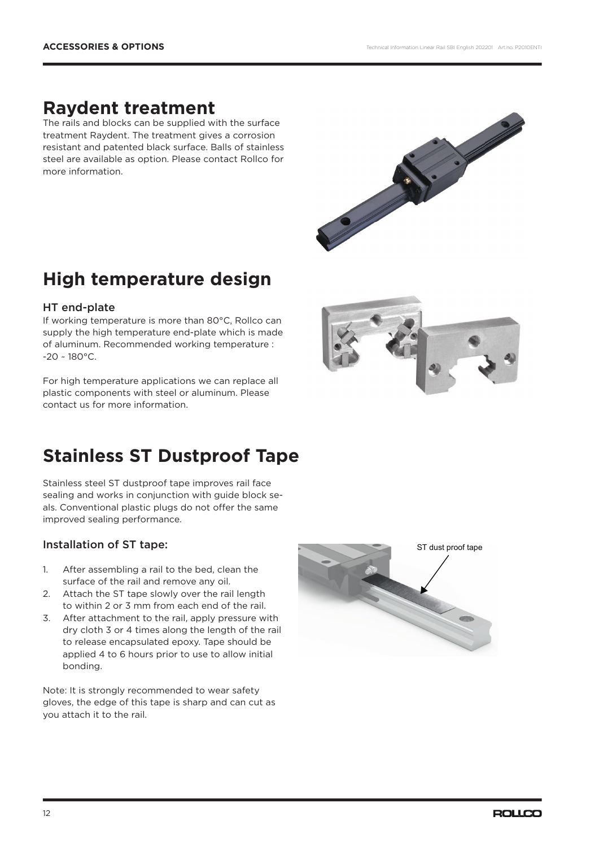## **Raydent treatment**

The rails and blocks can be supplied with the surface treatment Raydent. The treatment gives a corrosion resistant and patented black surface. Balls of stainless steel are available as option. Please contact Rollco for more information.



# **High temperature design**

## HT end-plate

If working temperature is more than 80°C, Rollco can supply the high temperature end-plate which is made of aluminum. Recommended working temperature :  $-20 \sim 180^{\circ}$ C.

For high temperature applications we can replace all plastic components with steel or aluminum. Please contact us for more information.



# **Stainless ST Dustproof Tape**

Stainless steel ST dustproof tape improves rail face sealing and works in conjunction with guide block seals. Conventional plastic plugs do not offer the same improved sealing performance.

## Installation of ST tape:

- 1. After assembling a rail to the bed, clean the surface of the rail and remove any oil.
- 2. Attach the ST tape slowly over the rail length to within 2 or 3 mm from each end of the rail.
- 3. After attachment to the rail, apply pressure with dry cloth 3 or 4 times along the length of the rail to release encapsulated epoxy. Tape should be applied 4 to 6 hours prior to use to allow initial bonding.

Note: It is strongly recommended to wear safety gloves, the edge of this tape is sharp and can cut as you attach it to the rail.

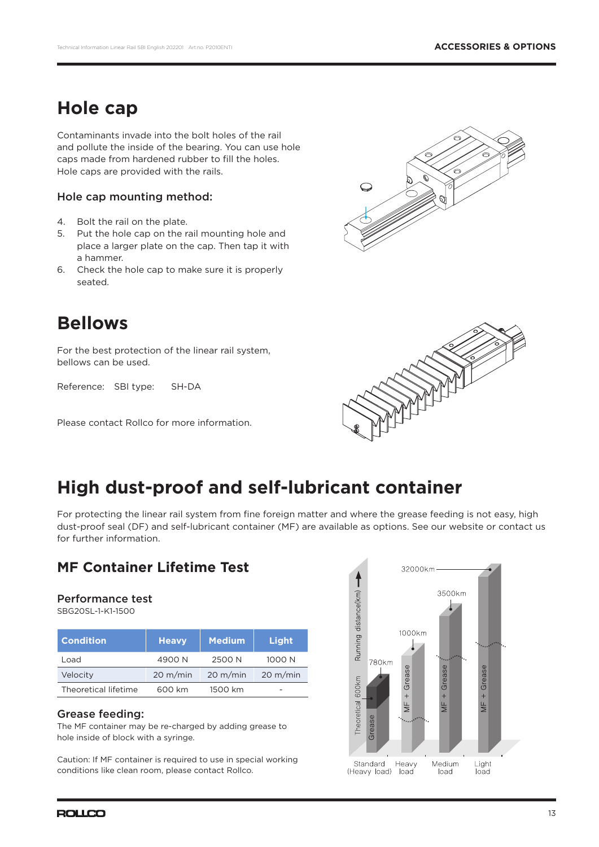## **Hole cap**

Contaminants invade into the bolt holes of the rail and pollute the inside of the bearing. You can use hole caps made from hardened rubber to fill the holes. Hole caps are provided with the rails.

### Hole cap mounting method:

- 4. Bolt the rail on the plate.
- 5. Put the hole cap on the rail mounting hole and place a larger plate on the cap. Then tap it with a hammer.
- 6. Check the hole cap to make sure it is properly seated.



# **Bellows**

For the best protection of the linear rail system, bellows can be used.

Reference: SBI type: SH-DA

Please contact Rollco for more information.



# **High dust-proof and self-lubricant container**

For protecting the linear rail system from fine foreign matter and where the grease feeding is not easy, high dust-proof seal (DF) and self-lubricant container (MF) are available as options. See our website or contact us for further information.

## **MF Container Lifetime Test**

#### Performance test

SBG20SL-1-K1-1500

| <b>Condition</b>     | <b>Heavy</b>       | <b>Medium</b>      | Light              |
|----------------------|--------------------|--------------------|--------------------|
| Load                 | 4900N              | 2500 N             | 1000 N             |
| Velocity             | $20 \text{ m/min}$ | $20 \text{ m/min}$ | $20 \text{ m/min}$ |
| Theoretical lifetime | 600 km             | 1500 km            | $\overline{ }$     |

### Grease feeding:

The MF container may be re-charged by adding grease to hole inside of block with a syringe.

Caution: If MF container is required to use in special working conditions like clean room, please contact Rollco.